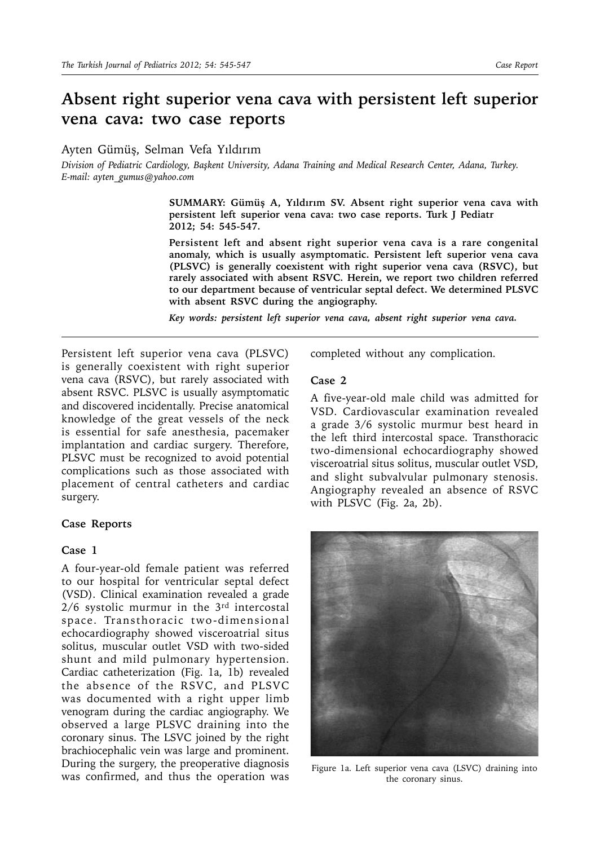# **Absent right superior vena cava with persistent left superior vena cava: two case reports**

Ayten Gümüş, Selman Vefa Yıldırım

*Division of Pediatric Cardiology, Başkent University, Adana Training and Medical Research Center, Adana, Turkey. E-mail: ayten\_gumus@yahoo.com*

> **SUMMARY: Gümüş A, Yıldırım SV. Absent right superior vena cava with persistent left superior vena cava: two case reports. Turk J Pediatr 2012; 54: 545-547.**

> **Persistent left and absent right superior vena cava is a rare congenital anomaly, which is usually asymptomatic. Persistent left superior vena cava (PLSVC) is generally coexistent with right superior vena cava (RSVC), but rarely associated with absent RSVC. Herein, we report two children referred to our department because of ventricular septal defect. We determined PLSVC with absent RSVC during the angiography.**

*Key words: persistent left superior vena cava, absent right superior vena cava.*

Persistent left superior vena cava (PLSVC) is generally coexistent with right superior vena cava (RSVC), but rarely associated with absent RSVC. PLSVC is usually asymptomatic and discovered incidentally. Precise anatomical knowledge of the great vessels of the neck is essential for safe anesthesia, pacemaker implantation and cardiac surgery. Therefore, PLSVC must be recognized to avoid potential complications such as those associated with placement of central catheters and cardiac surgery.

### **Case Reports**

## **Case 1**

A four-year-old female patient was referred to our hospital for ventricular septal defect (VSD). Clinical examination revealed a grade  $2/6$  systolic murmur in the  $3<sup>rd</sup>$  intercostal space. Transthoracic two -dimensional echocardiography showed visceroatrial situs solitus, muscular outlet VSD with two-sided shunt and mild pulmonary hypertension. Cardiac catheterization (Fig. 1a, 1b) revealed the absence of the RSVC, and PLSVC was documented with a right upper limb venogram during the cardiac angiography. We observed a large PLSVC draining into the coronary sinus. The LSVC joined by the right brachiocephalic vein was large and prominent. During the surgery, the preoperative diagnosis was confirmed, and thus the operation was

completed without any complication.

#### **Case 2**

A five-year-old male child was admitted for VSD. Cardiovascular examination revealed a grade 3/6 systolic murmur best heard in the left third intercostal space. Transthoracic two-dimensional echocardiography showed visceroatrial situs solitus, muscular outlet VSD, and slight subvalvular pulmonary stenosis. Angiography revealed an absence of RSVC with PLSVC (Fig. 2a, 2b).



Figure 1a. Left superior vena cava (LSVC) draining into the coronary sinus.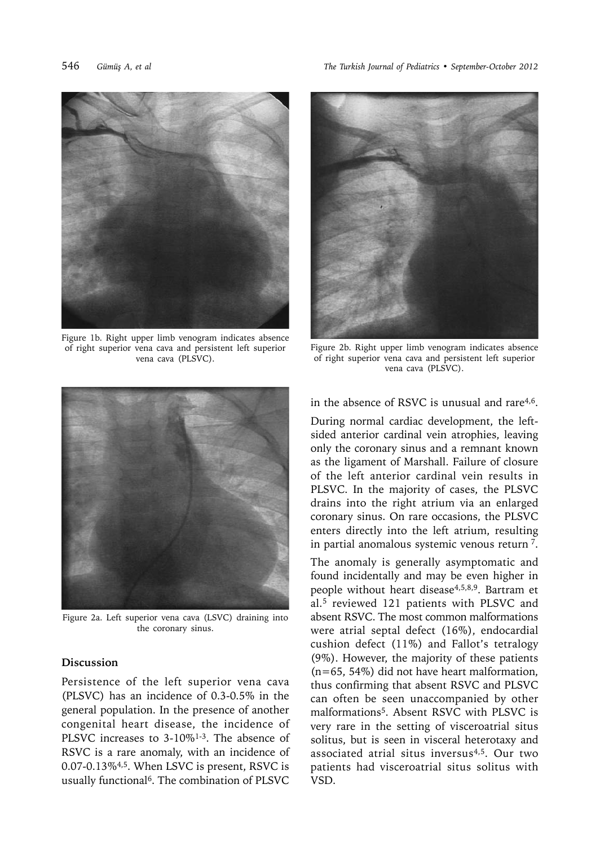

Figure 1b. Right upper limb venogram indicates absence of right superior vena cava and persistent left superior vena cava (PLSVC).

546 *Gümüş A, et al The Turkish Journal of Pediatrics • September-October 2012*



Figure 2b. Right upper limb venogram indicates absence of right superior vena cava and persistent left superior vena cava (PLSVC).



Figure 2a. Left superior vena cava (LSVC) draining into the coronary sinus.

### **Discussion**

Persistence of the left superior vena cava (PLSVC) has an incidence of 0.3-0.5% in the general population. In the presence of another congenital heart disease, the incidence of PLSVC increases to 3-10%<sup>1-3</sup>. The absence of RSVC is a rare anomaly, with an incidence of 0.07-0.13%4,5. When LSVC is present, RSVC is usually functional<sup>6</sup>. The combination of PLSVC

in the absence of RSVC is unusual and rare<sup>4,6</sup>.

During normal cardiac development, the leftsided anterior cardinal vein atrophies, leaving only the coronary sinus and a remnant known as the ligament of Marshall. Failure of closure of the left anterior cardinal vein results in PLSVC. In the majority of cases, the PLSVC drains into the right atrium via an enlarged coronary sinus. On rare occasions, the PLSVC enters directly into the left atrium, resulting in partial anomalous systemic venous return 7.

The anomaly is generally asymptomatic and found incidentally and may be even higher in people without heart disease4,5,8,9. Bartram et al.5 reviewed 121 patients with PLSVC and absent RSVC. The most common malformations were atrial septal defect (16%), endocardial cushion defect (11%) and Fallot's tetralogy (9%). However, the majority of these patients (n=65, 54%) did not have heart malformation, thus confirming that absent RSVC and PLSVC can often be seen unaccompanied by other malformations5. Absent RSVC with PLSVC is very rare in the setting of visceroatrial situs solitus, but is seen in visceral heterotaxy and associated atrial situs inversus4,5. Our two patients had visceroatrial situs solitus with VSD.